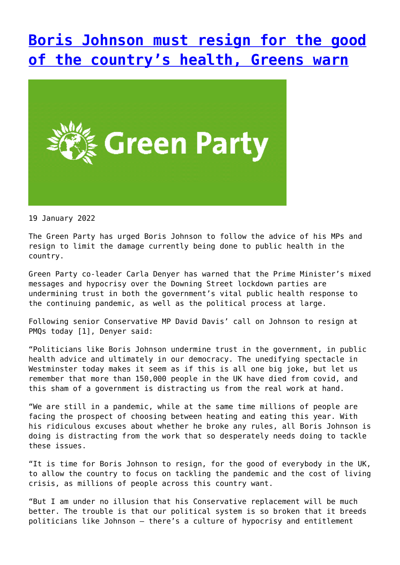## **[Boris Johnson must resign for the good](http://www.government-world.com/boris-johnson-must-resign-for-the-good-of-the-countrys-health-greens-warn/) [of the country's health, Greens warn](http://www.government-world.com/boris-johnson-must-resign-for-the-good-of-the-countrys-health-greens-warn/)**



19 January 2022

The Green Party has urged Boris Johnson to follow the advice of his MPs and resign to limit the damage currently being done to public health in the country.

Green Party co-leader Carla Denyer has warned that the Prime Minister's mixed messages and hypocrisy over the Downing Street lockdown parties are undermining trust in both the government's vital public health response to the continuing pandemic, as well as the political process at large.

Following senior Conservative MP David Davis' call on Johnson to resign at PMQs today [1], Denyer said:

"Politicians like Boris Johnson undermine trust in the government, in public health advice and ultimately in our democracy. The unedifying spectacle in Westminster today makes it seem as if this is all one big joke, but let us remember that more than 150,000 people in the UK have died from covid, and this sham of a government is distracting us from the real work at hand.

"We are still in a pandemic, while at the same time millions of people are facing the prospect of choosing between heating and eating this year. With his ridiculous excuses about whether he broke any rules, all Boris Johnson is doing is distracting from the work that so desperately needs doing to tackle these issues.

"It is time for Boris Johnson to resign, for the good of everybody in the UK, to allow the country to focus on tackling the pandemic and the cost of living crisis, as millions of people across this country want.

"But I am under no illusion that his Conservative replacement will be much better. The trouble is that our political system is so broken that it breeds politicians like Johnson – there's a culture of hypocrisy and entitlement